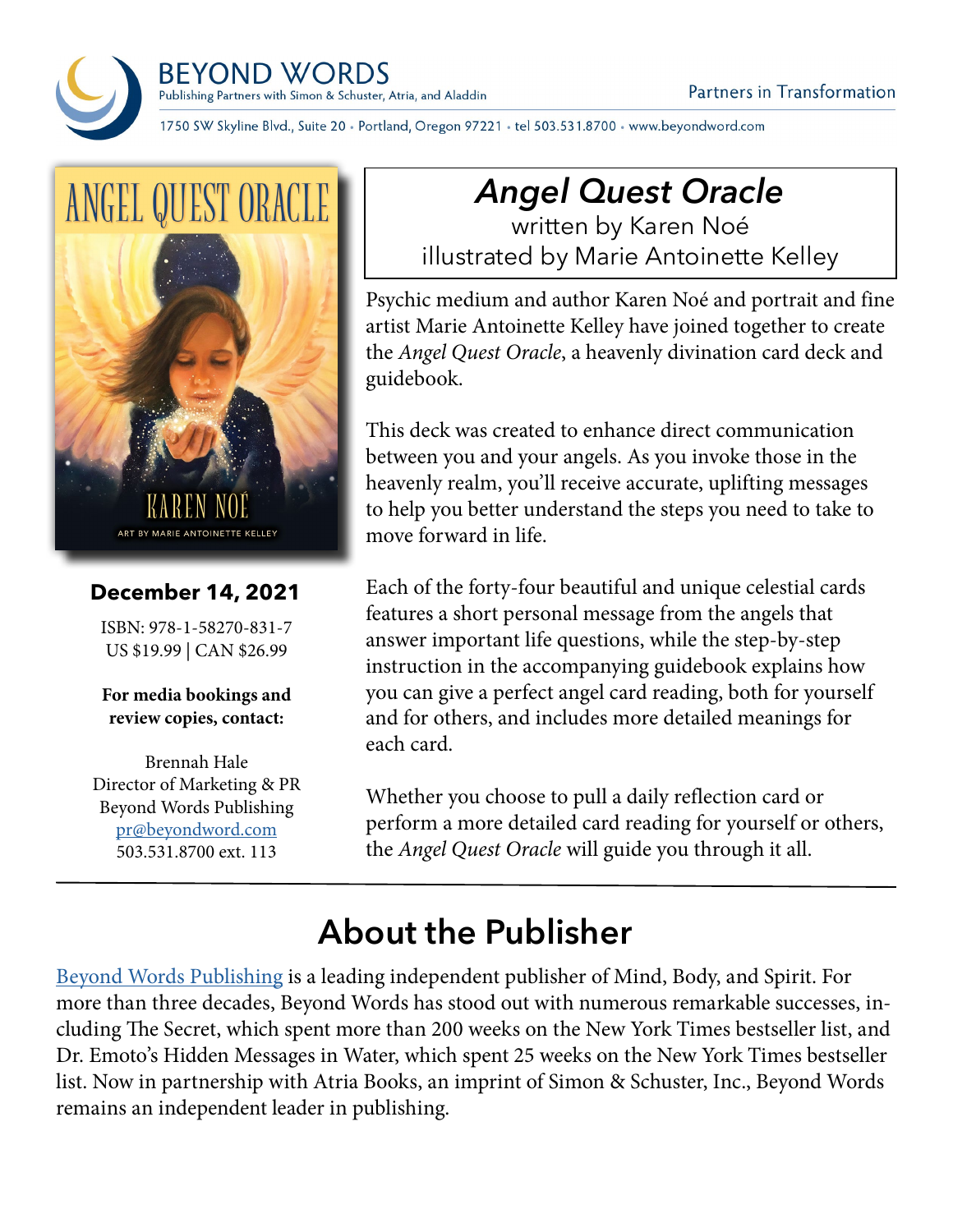**BEYOND WORDS** Publishing Partners with Simon & Schuster, Atria, and Aladdin



#### **December 14, 2021**

ISBN: 978-1-58270-831-7 US \$19.99 | CAN \$26.99

**For media bookings and review copies, contact:**

Brennah Hale Director of Marketing & PR Beyond Words Publishing [pr@beyondword.com](mailto:pr%40beyondword.com?subject=) 503.531.8700 ext. 113

# *Angel Quest Oracle*

written by Karen Noé illustrated by Marie Antoinette Kelley

Psychic medium and author Karen Noé and portrait and fine artist Marie Antoinette Kelley have joined together to create the *Angel Quest Oracle*, a heavenly divination card deck and guidebook.

This deck was created to enhance direct communication between you and your angels. As you invoke those in the heavenly realm, you'll receive accurate, uplifting messages to help you better understand the steps you need to take to move forward in life.

Each of the forty-four beautiful and unique celestial cards features a short personal message from the angels that answer important life questions, while the step-by-step instruction in the accompanying guidebook explains how you can give a perfect angel card reading, both for yourself and for others, and includes more detailed meanings for each card.

Whether you choose to pull a daily reflection card or perform a more detailed card reading for yourself or others, the *Angel Quest Oracle* will guide you through it all.

### **About the Publisher**

1750 SW Skyline Blvd., Suite 20 • Portland, Oregon 97221 • tel 503.531.8700 • www.beyondword.com

[Beyond Words Publishing](https://beyondword.com/) is a leading independent publisher of Mind, Body, and Spirit. For more than three decades, Beyond Words has stood out with numerous remarkable successes, including The Secret, which spent more than 200 weeks on the New York Times bestseller list, and Dr. Emoto's Hidden Messages in Water, which spent 25 weeks on the New York Times bestseller list. Now in partnership with Atria Books, an imprint of Simon & Schuster, Inc., Beyond Words remains an independent leader in publishing.